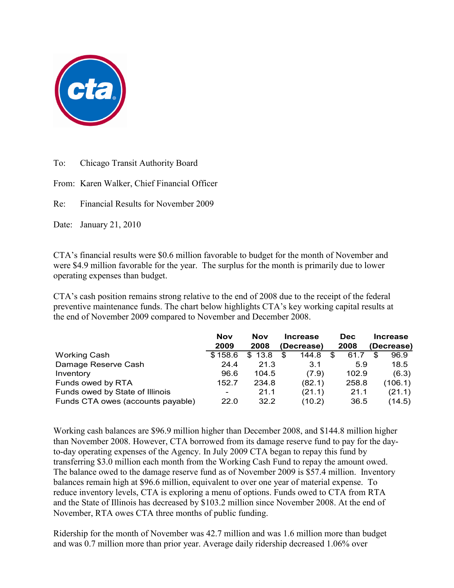

To: Chicago Transit Authority Board

From: Karen Walker, Chief Financial Officer

Re: Financial Results for November 2009

Date: January 21, 2010

CTA's financial results were \$0.6 million favorable to budget for the month of November and were \$4.9 million favorable for the year. The surplus for the month is primarily due to lower operating expenses than budget.

CTA's cash position remains strong relative to the end of 2008 due to the receipt of the federal preventive maintenance funds. The chart below highlights CTA's key working capital results at the end of November 2009 compared to November and December 2008.

|                                   | <b>Nov</b><br>2009       | <b>Nov</b><br>2008 | <b>Increase</b><br>(Decrease) | <b>Dec</b><br>2008 | <b>Increase</b><br>(Decrease) |
|-----------------------------------|--------------------------|--------------------|-------------------------------|--------------------|-------------------------------|
| <b>Working Cash</b>               | \$158.6                  | \$13.8             | 144.8<br>\$                   | \$<br>61.7         | 96.9                          |
| Damage Reserve Cash               | 24.4                     | 21.3               | 3.1                           | 5.9                | 18.5                          |
| Inventory                         | 96.6                     | 104.5              | (7.9)                         | 102.9              | (6.3)                         |
| Funds owed by RTA                 | 152.7                    | 234.8              | (82.1)                        | 258.8              | (106.1)                       |
| Funds owed by State of Illinois   | $\overline{\phantom{a}}$ | 21.1               | (21.1)                        | 21.1               | (21.1)                        |
| Funds CTA owes (accounts payable) | 22.0                     | 32.2               | (10.2)                        | 36.5               | (14.5)                        |

Working cash balances are \$96.9 million higher than December 2008, and \$144.8 million higher than November 2008. However, CTA borrowed from its damage reserve fund to pay for the dayto-day operating expenses of the Agency. In July 2009 CTA began to repay this fund by transferring \$3.0 million each month from the Working Cash Fund to repay the amount owed. The balance owed to the damage reserve fund as of November 2009 is \$57.4 million. Inventory balances remain high at \$96.6 million, equivalent to over one year of material expense. To reduce inventory levels, CTA is exploring a menu of options. Funds owed to CTA from RTA and the State of Illinois has decreased by \$103.2 million since November 2008. At the end of November, RTA owes CTA three months of public funding.

Ridership for the month of November was 42.7 million and was 1.6 million more than budget and was 0.7 million more than prior year. Average daily ridership decreased 1.06% over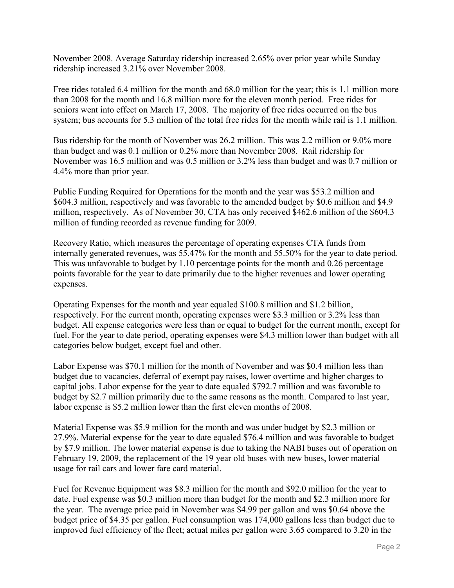November 2008. Average Saturday ridership increased 2.65% over prior year while Sunday ridership increased 3.21% over November 2008.

Free rides totaled 6.4 million for the month and 68.0 million for the year; this is 1.1 million more than 2008 for the month and 16.8 million more for the eleven month period. Free rides for seniors went into effect on March 17, 2008. The majority of free rides occurred on the bus system; bus accounts for 5.3 million of the total free rides for the month while rail is 1.1 million.

Bus ridership for the month of November was 26.2 million. This was 2.2 million or 9.0% more than budget and was 0.1 million or 0.2% more than November 2008. Rail ridership for November was 16.5 million and was 0.5 million or 3.2% less than budget and was 0.7 million or 4.4% more than prior year.

Public Funding Required for Operations for the month and the year was \$53.2 million and \$604.3 million, respectively and was favorable to the amended budget by \$0.6 million and \$4.9 million, respectively. As of November 30, CTA has only received \$462.6 million of the \$604.3 million of funding recorded as revenue funding for 2009.

Recovery Ratio, which measures the percentage of operating expenses CTA funds from internally generated revenues, was 55.47% for the month and 55.50% for the year to date period. This was unfavorable to budget by 1.10 percentage points for the month and 0.26 percentage points favorable for the year to date primarily due to the higher revenues and lower operating expenses.

Operating Expenses for the month and year equaled \$100.8 million and \$1.2 billion, respectively. For the current month, operating expenses were \$3.3 million or 3.2% less than budget. All expense categories were less than or equal to budget for the current month, except for fuel. For the year to date period, operating expenses were \$4.3 million lower than budget with all categories below budget, except fuel and other.

Labor Expense was \$70.1 million for the month of November and was \$0.4 million less than budget due to vacancies, deferral of exempt pay raises, lower overtime and higher charges to capital jobs. Labor expense for the year to date equaled \$792.7 million and was favorable to budget by \$2.7 million primarily due to the same reasons as the month. Compared to last year, labor expense is \$5.2 million lower than the first eleven months of 2008.

Material Expense was \$5.9 million for the month and was under budget by \$2.3 million or 27.9%. Material expense for the year to date equaled \$76.4 million and was favorable to budget by \$7.9 million. The lower material expense is due to taking the NABI buses out of operation on February 19, 2009, the replacement of the 19 year old buses with new buses, lower material usage for rail cars and lower fare card material.

Fuel for Revenue Equipment was \$8.3 million for the month and \$92.0 million for the year to date. Fuel expense was \$0.3 million more than budget for the month and \$2.3 million more for the year. The average price paid in November was \$4.99 per gallon and was \$0.64 above the budget price of \$4.35 per gallon. Fuel consumption was 174,000 gallons less than budget due to improved fuel efficiency of the fleet; actual miles per gallon were 3.65 compared to 3.20 in the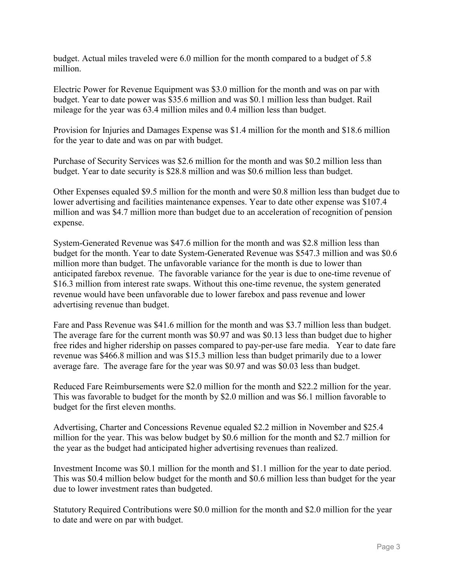budget. Actual miles traveled were 6.0 million for the month compared to a budget of 5.8 million.

Electric Power for Revenue Equipment was \$3.0 million for the month and was on par with budget. Year to date power was \$35.6 million and was \$0.1 million less than budget. Rail mileage for the year was 63.4 million miles and 0.4 million less than budget.

Provision for Injuries and Damages Expense was \$1.4 million for the month and \$18.6 million for the year to date and was on par with budget.

Purchase of Security Services was \$2.6 million for the month and was \$0.2 million less than budget. Year to date security is \$28.8 million and was \$0.6 million less than budget.

Other Expenses equaled \$9.5 million for the month and were \$0.8 million less than budget due to lower advertising and facilities maintenance expenses. Year to date other expense was \$107.4 million and was \$4.7 million more than budget due to an acceleration of recognition of pension expense.

System-Generated Revenue was \$47.6 million for the month and was \$2.8 million less than budget for the month. Year to date System-Generated Revenue was \$547.3 million and was \$0.6 million more than budget. The unfavorable variance for the month is due to lower than anticipated farebox revenue. The favorable variance for the year is due to one-time revenue of \$16.3 million from interest rate swaps. Without this one-time revenue, the system generated revenue would have been unfavorable due to lower farebox and pass revenue and lower advertising revenue than budget.

Fare and Pass Revenue was \$41.6 million for the month and was \$3.7 million less than budget. The average fare for the current month was \$0.97 and was \$0.13 less than budget due to higher free rides and higher ridership on passes compared to pay-per-use fare media. Year to date fare revenue was \$466.8 million and was \$15.3 million less than budget primarily due to a lower average fare. The average fare for the year was \$0.97 and was \$0.03 less than budget.

Reduced Fare Reimbursements were \$2.0 million for the month and \$22.2 million for the year. This was favorable to budget for the month by \$2.0 million and was \$6.1 million favorable to budget for the first eleven months.

Advertising, Charter and Concessions Revenue equaled \$2.2 million in November and \$25.4 million for the year. This was below budget by \$0.6 million for the month and \$2.7 million for the year as the budget had anticipated higher advertising revenues than realized.

Investment Income was \$0.1 million for the month and \$1.1 million for the year to date period. This was \$0.4 million below budget for the month and \$0.6 million less than budget for the year due to lower investment rates than budgeted.

Statutory Required Contributions were \$0.0 million for the month and \$2.0 million for the year to date and were on par with budget.